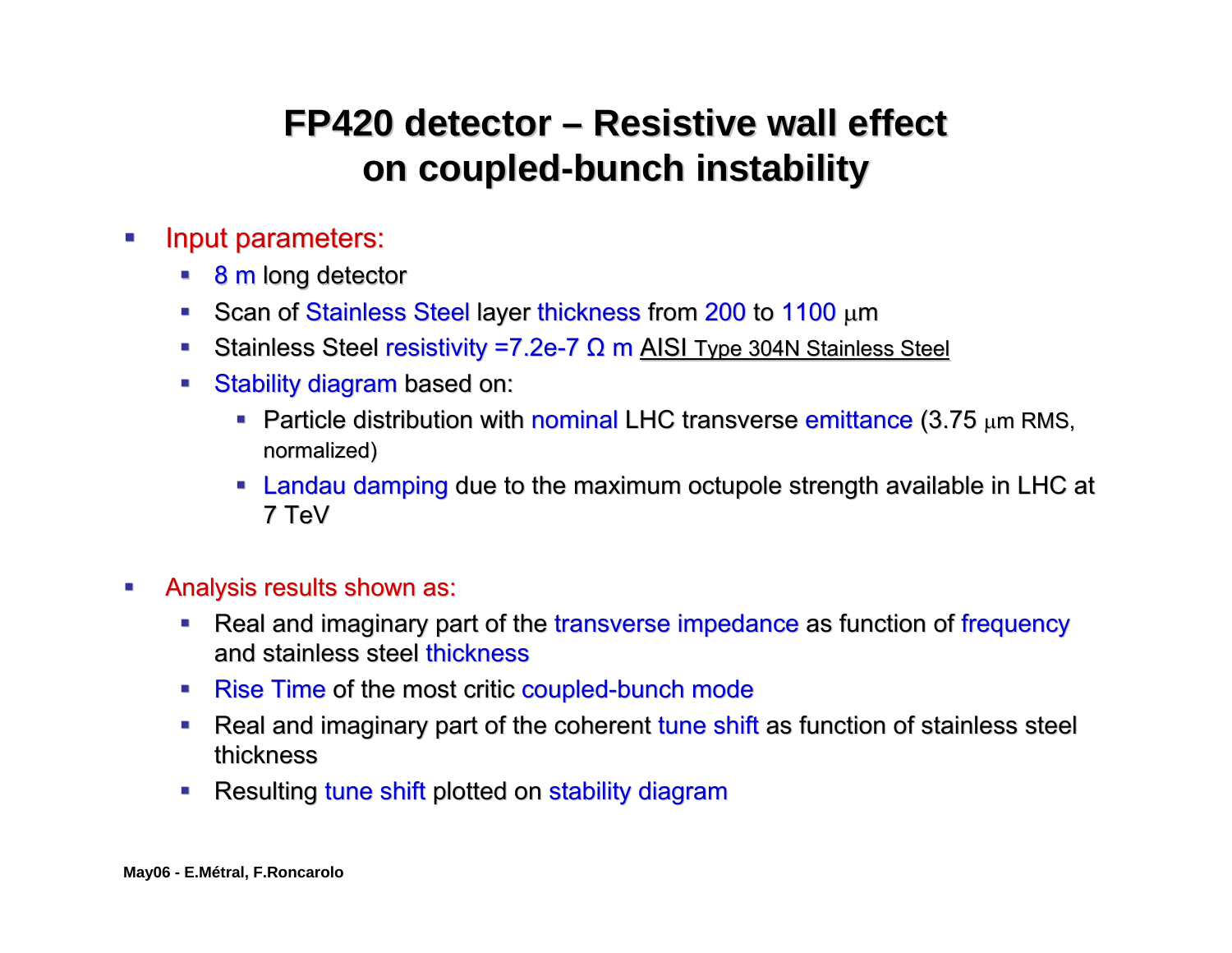## **FP420 detector – Resistive wall effect on coupled-bunch instability**

- $\mathcal{L}_{\mathcal{A}}$ Input parameters:
	- **8 m long detector**
	- Scan of Stainless Steel layer thickness from 200 to 1100  $\mu$ m
	- Stainless Steel resistivity =7.2e-7 Ω m AISI Type 304N Stainless Steel
	- ш Stability diagram based on:
		- **Particle distribution with nominal LHC transverse emittance (3.75 µm RMS,** normalized)
		- Landau damping due to the maximum octupole strength available in LHC at strength available in LHC at 7 TeV
- $\mathcal{L}_{\mathcal{A}}$ Analysis results shown as:
	- П Real and imaginary part of the transverse impedance as function of frequency and stainless steel thickness
	- Rise Time of the most critic coupled-bunch mode
	- $\blacksquare$ Real and imaginary part of the coherent tune shift as function of stainless steel thickness
	- П Resulting tune shift plotted on stability diagram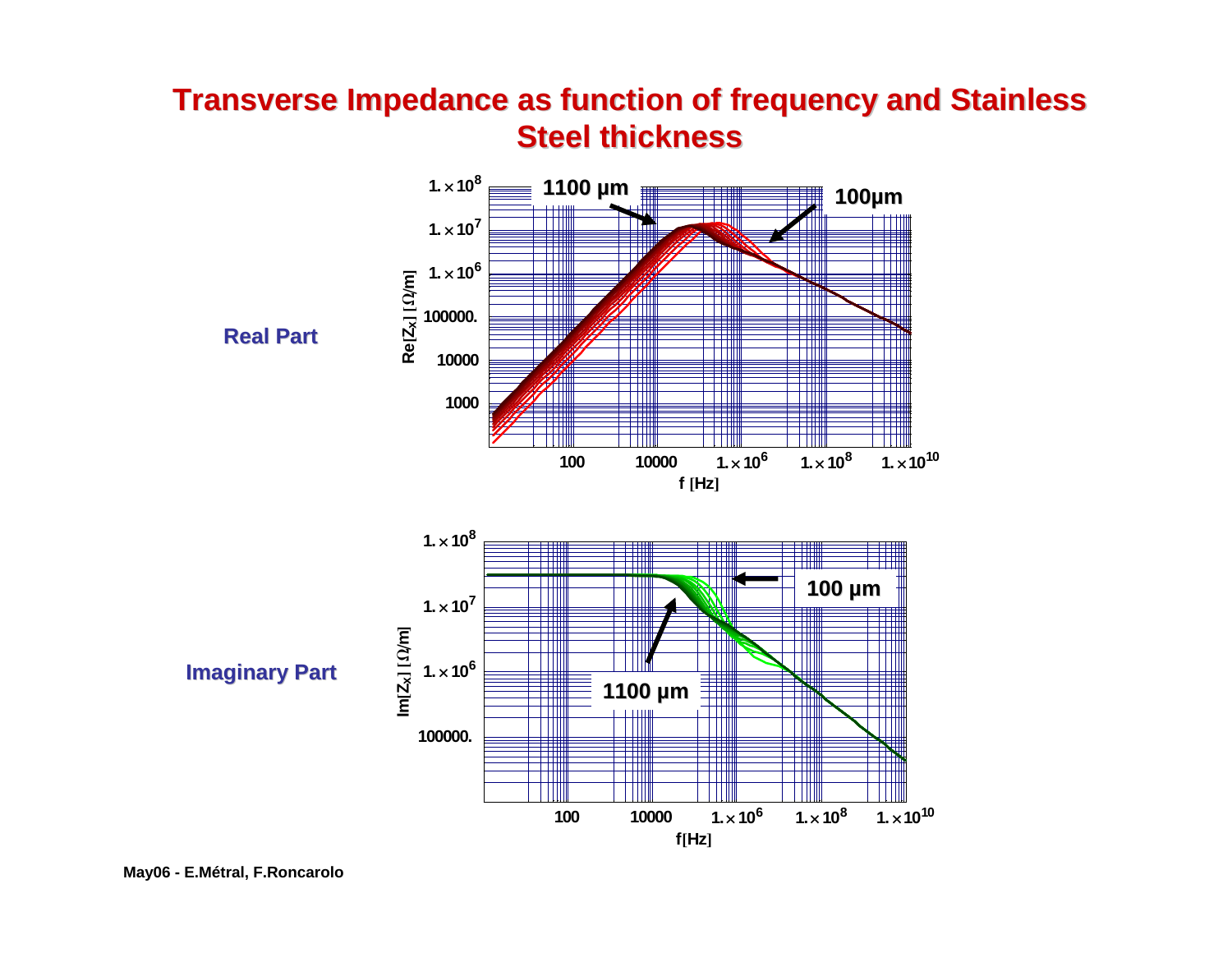## **Transverse Impedance as function of frequency and Stainless Steel thickness Steel thickness**



**May06 - E.Métral, F.Roncarolo**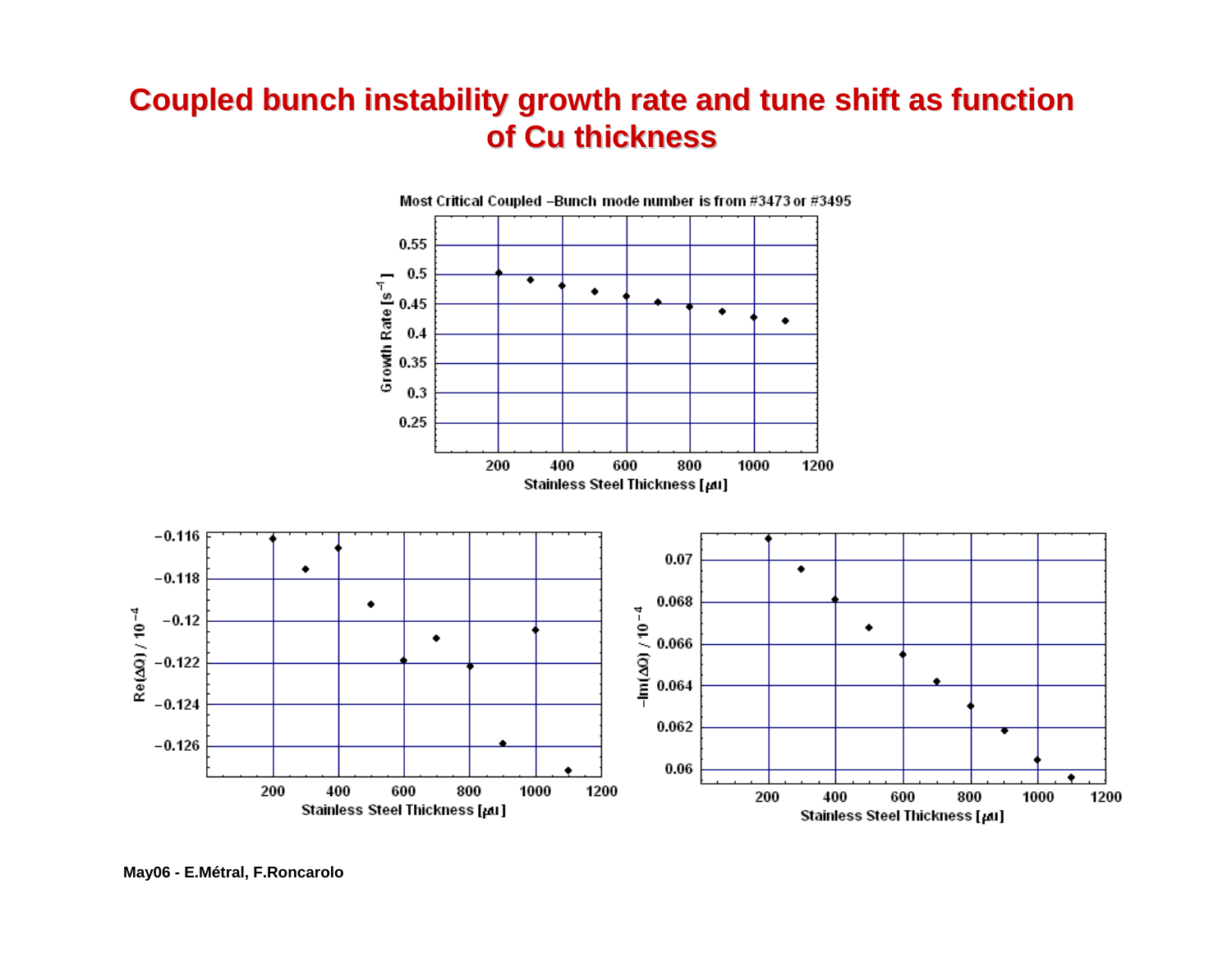## **Coupled bunch instability growth rate and tune shift as function Coupled bunch instability growth rate and tune shift as function of Cu thickness of Cu thickness**



**May06 - E.Métral, F.Roncarolo**